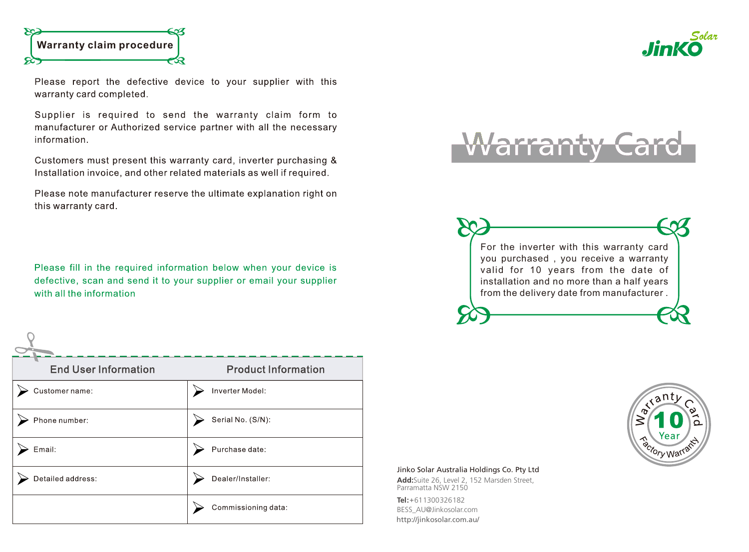

 $\cap$ 

Please report the defective device to your supplier with this warranty card completed.

Supplier is required to send the warranty claim form to manufacturer or Authorized service partner with all the necessary information.

Customers must present this warranty card, inverter purchasing & Installation invoice, and other related materials as well if required.

Please note manufacturer reserve the ultimate explanation right on this warranty card.

Please fill in the required information below when your device is defective, scan and send it to your supplier or email your supplier with all the information

| <b>End User Information</b> | <b>Product Information</b> |
|-----------------------------|----------------------------|
| Customer name:              | Inverter Model:            |
| Phone number:               | Serial No. (S/N):          |
| Email:                      | Purchase date:             |
| Detailed address:           | Dealer/Installer:          |
|                             | Commissioning data:        |

## Varranty





Solar

## Jinko Solar Australia Holdings Co. Pty Ltd

**Add:**Suite 26, Level 2, 152 Marsden Street, Parramatta NSW 2150

**Tel :**+61 1300 326 182 BESS\_AU@Jinkosolar.com http://jinkosolar.com.au/